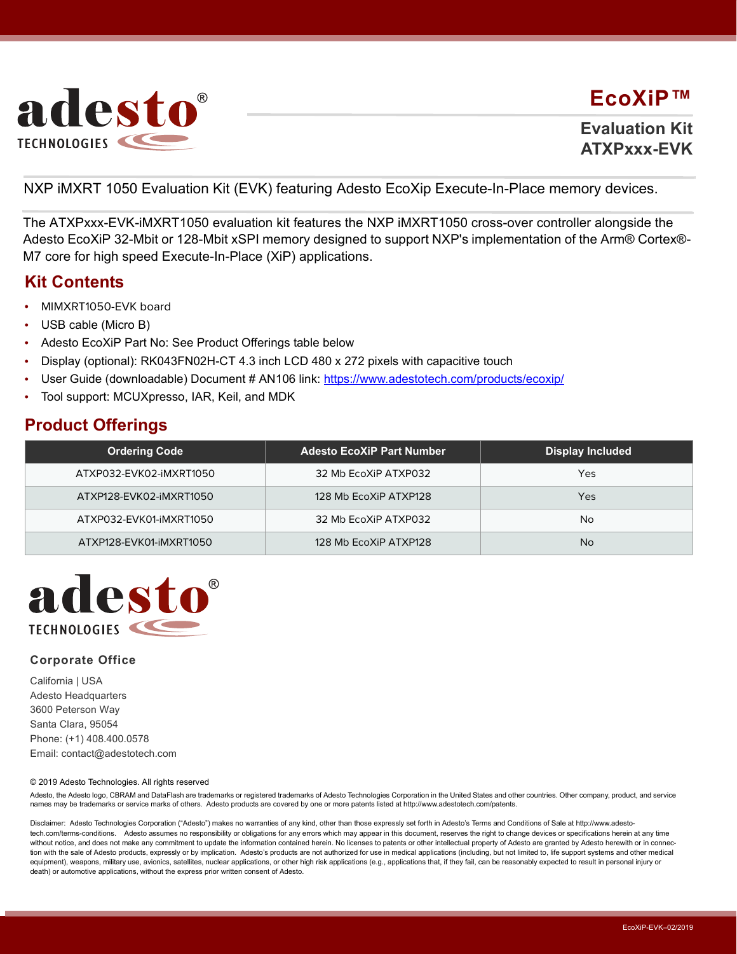

## **EcoXiP™**

**Evaluation Kit ATXPxxx-EVK**

NXP iMXRT 1050 Evaluation Kit (EVK) featuring Adesto EcoXip Execute-In-Place memory devices.

The ATXPxxx-EVK-iMXRT1050 evaluation kit features the NXP iMXRT1050 cross-over controller alongside the Adesto EcoXiP 32-Mbit or 128-Mbit xSPI memory designed to support NXP's implementation of the Arm® Cortex®- M7 core for high speed Execute-In-Place (XiP) applications.

### **Kit Contents**

- **•** MIMXRT1050-EVK board
- **•** USB cable (Micro B)
- **•** Adesto EcoXiP Part No: See Product Offerings table below
- **•** Display (optional): RK043FN02H-CT 4.3 inch LCD 480 x 272 pixels with capacitive touch
- **•** User Guide (downloadable) Document # AN106 link: https://www.adestotech.com/products/ecoxip/
- **•** Tool support: MCUXpresso, IAR, Keil, and MDK

## **Product Offerings**

| <b>Ordering Code</b>    | <b>Adesto EcoXiP Part Number</b> | <b>Display Included</b> |
|-------------------------|----------------------------------|-------------------------|
| ATXP032-EVK02-iMXRT1050 | 32 Mb EcoXiP ATXP032             | Yes                     |
| ATXP128-EVK02-iMXRT1050 | 128 Mb EcoXiP ATXP128            | Yes                     |
| ATXP032-EVK01-iMXRT1050 | 32 Mb EcoXiP ATXP032             | No                      |
| ATXP128-EVK01-iMXRT1050 | 128 Mb EcoXiP ATXP128            | No                      |



#### **Corporate Office**

California | USA Adesto Headquarters 3600 Peterson Way Santa Clara, 95054 Phone: (+1) 408.400.0578 Email: contact@adestotech.com

#### © 2019 Adesto Technologies. All rights reserved

Adesto, the Adesto logo, CBRAM and DataFlash are trademarks or registered trademarks of Adesto Technologies Corporation in the United States and other countries. Other company, product, and service names may be trademarks or service marks of others. Adesto products are covered by one or more patents listed at http://www.adestotech.com/patents.

Disclaimer: Adesto Technologies Corporation ("Adesto") makes no warranties of any kind, other than those expressly set forth in Adesto's Terms and Conditions of Sale at http://www.adestotech.com/terms-conditions. Adesto assumes no responsibility or obligations for any errors which may appear in this document, reserves the right to change devices or specifications herein at any time without notice, and does not make any commitment to update the information contained herein. No licenses to patents or other intellectual property of Adesto are granted by Adesto herewith or in connection with the sale of Adesto products, expressly or by implication. Adesto's products are not authorized for use in medical applications (including, but not limited to, life support systems and other medical equipment), weapons, military use, avionics, satellites, nuclear applications, or other high risk applications (e.g., applications that, if they fail, can be reasonably expected to result in personal injury or death) or automotive applications, without the express prior written consent of Adesto.